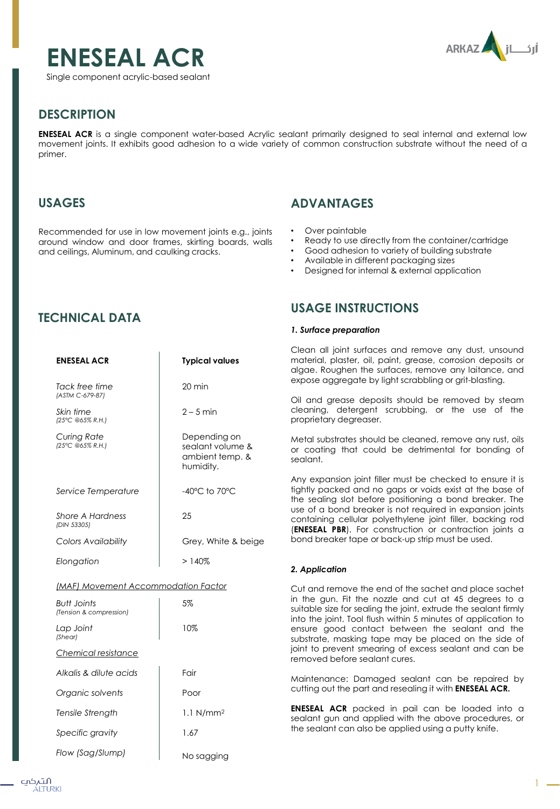



## **DESCRIPTION**

**ENESEAL ACR** is a single component water-based Acrylic sealant primarily designed to seal internal and external low movement joints. It exhibits good adhesion to a wide variety of common construction substrate without the need of a primer.

### **USAGES**

Recommended for use in low movement joints e.g., joints around window and door frames, skirting boards, walls and ceilings, Aluminum, and caulking cracks.

## **ADVANTAGES**

- Over paintable
- Ready to use directly from the container/cartridge
- Good adhesion to variety of building substrate
- Available in different packaging sizes
- Designed for internal & external application

# **TECHNICAL DATA**

| <b>ENESEAL ACR</b>                     | <b>Typical values</b>                                            |  |
|----------------------------------------|------------------------------------------------------------------|--|
| Tack free time<br>(ASTM C-679-87)      | $20 \text{ min}$                                                 |  |
| Skin time<br>(25°C @65% R.H.)          | $2 - 5$ min                                                      |  |
| Curing Rate<br>(25°C @65% R.H.)        | Depending on<br>sealant volume &<br>ambient temp. &<br>humidity. |  |
| Service Temperature                    | $-40^{\circ}$ C to 70 $^{\circ}$ C                               |  |
| Shore A Hardness<br>(DIN 53305)        | 25                                                               |  |
| Colors Availability                    | Grey, White & beige                                              |  |
| Elongation                             | >140%                                                            |  |
| (MAF) Movement Accommodation Factor    |                                                                  |  |
| Butt Joints<br>(Tension & compression) | 5%                                                               |  |
| Lap Joint<br>(Shear)                   | 10%                                                              |  |
| Chemical resistance                    |                                                                  |  |
| Alkalis & dilute acids                 | Fair                                                             |  |

| Organic solvents | Poor                    |
|------------------|-------------------------|
| Tensile Strength | $1.1$ N/mm <sup>2</sup> |
| Specific gravity | 1.67                    |
| Flow (Sag/Slump) | No sagging              |

## **USAGE INSTRUCTIONS**

### *1. Surface preparation*

Clean all joint surfaces and remove any dust, unsound material, plaster, oil, paint, grease, corrosion deposits or algae. Roughen the surfaces, remove any laitance, and expose aggregate by light scrabbling or grit-blasting.

Oil and grease deposits should be removed by steam cleaning, detergent scrubbing, or the use of the proprietary degreaser.

Metal substrates should be cleaned, remove any rust, oils or coating that could be detrimental for bonding of sealant.

Any expansion joint filler must be checked to ensure it is tightly packed and no gaps or voids exist at the base of the sealing slot before positioning a bond breaker. The use of a bond breaker is not required in expansion joints containing cellular polyethylene joint filler, backing rod (**ENESEAL PBR**). For construction or contraction joints a bond breaker tape or back-up strip must be used.

### *2. Application*

Cut and remove the end of the sachet and place sachet in the gun. Fit the nozzle and cut at 45 degrees to a suitable size for sealing the joint, extrude the sealant firmly into the joint. Tool flush within 5 minutes of application to ensure good contact between the sealant and the substrate, masking tape may be placed on the side of joint to prevent smearing of excess sealant and can be removed before sealant cures.

Maintenance: Damaged sealant can be repaired by cutting out the part and resealing it with **ENESEAL ACR.**

**ENESEAL ACR** packed in pail can be loaded into a sealant gun and applied with the above procedures, or the sealant can also be applied using a putty knife.